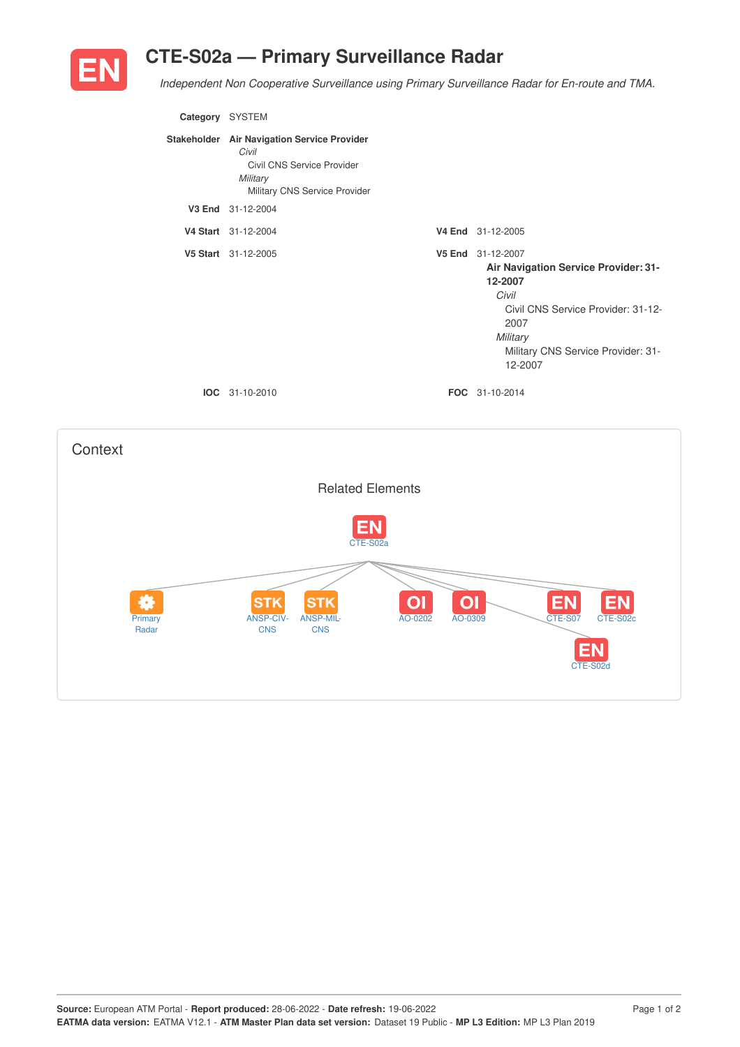## **CTE-S02a — Primary Surveillance Radar**



**Context** 

*Independent Non Cooperative Surveillance using Primary Surveillance Radar for En-route and TMA.*

| Category SYSTEM |                                                                                                                                 |                                                                                                                                                                                          |
|-----------------|---------------------------------------------------------------------------------------------------------------------------------|------------------------------------------------------------------------------------------------------------------------------------------------------------------------------------------|
|                 | Stakeholder Air Navigation Service Provider<br>Civil<br>Civil CNS Service Provider<br>Military<br>Military CNS Service Provider |                                                                                                                                                                                          |
|                 | V3 End 31-12-2004                                                                                                               |                                                                                                                                                                                          |
|                 | V4 Start 31-12-2004                                                                                                             | V4 End 31-12-2005                                                                                                                                                                        |
|                 | V5 Start 31-12-2005                                                                                                             | V5 End 31-12-2007<br>Air Navigation Service Provider: 31-<br>12-2007<br>Civil<br>Civil CNS Service Provider: 31-12-<br>2007<br>Military<br>Military CNS Service Provider: 31-<br>12-2007 |
|                 | <b>IOC</b> 31-10-2010                                                                                                           | FOC 31-10-2014                                                                                                                                                                           |
|                 |                                                                                                                                 |                                                                                                                                                                                          |